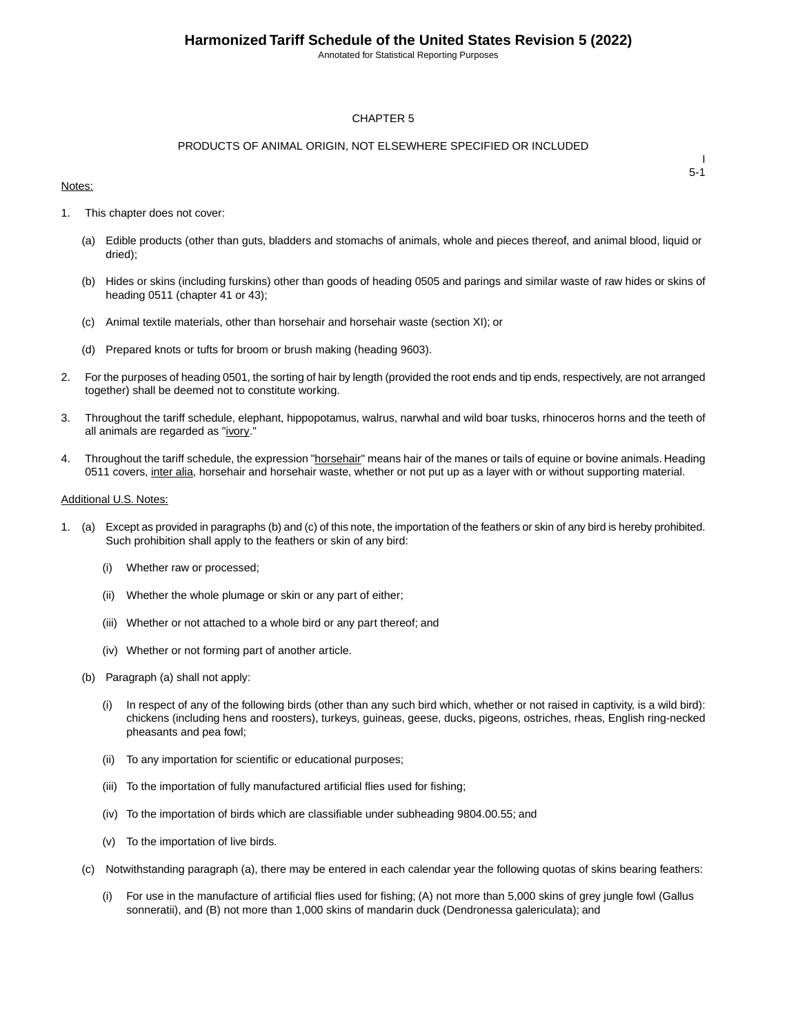Annotated for Statistical Reporting Purposes

#### CHAPTER 5

### PRODUCTS OF ANIMAL ORIGIN, NOT ELSEWHERE SPECIFIED OR INCLUDED

#### Notes:

I 5-1

- 1. This chapter does not cover:
	- (a) Edible products (other than guts, bladders and stomachs of animals, whole and pieces thereof, and animal blood, liquid or dried);
	- (b) Hides or skins (including furskins) other than goods of heading 0505 and parings and similar waste of raw hides or skins of heading 0511 (chapter 41 or 43);
	- (c) Animal textile materials, other than horsehair and horsehair waste (section XI); or
	- (d) Prepared knots or tufts for broom or brush making (heading 9603).
- 2. For the purposes of heading 0501, the sorting of hair by length (provided the root ends and tip ends, respectively, are not arranged together) shall be deemed not to constitute working.
- 3. Throughout the tariff schedule, elephant, hippopotamus, walrus, narwhal and wild boar tusks, rhinoceros horns and the teeth of all animals are regarded as "ivory."
- 4. Throughout the tariff schedule, the expression "horsehair" means hair of the manes or tails of equine or bovine animals. Heading 0511 covers, inter alia, horsehair and horsehair waste, whether or not put up as a layer with or without supporting material.

#### Additional U.S. Notes:

- 1. (a) Except as provided in paragraphs (b) and (c) of this note, the importation of the feathers or skin of any bird is hereby prohibited. Such prohibition shall apply to the feathers or skin of any bird:
	- (i) Whether raw or processed;
	- (ii) Whether the whole plumage or skin or any part of either;
	- (iii) Whether or not attached to a whole bird or any part thereof; and
	- (iv) Whether or not forming part of another article.
	- (b) Paragraph (a) shall not apply:
		- (i) In respect of any of the following birds (other than any such bird which, whether or not raised in captivity, is a wild bird): chickens (including hens and roosters), turkeys, guineas, geese, ducks, pigeons, ostriches, rheas, English ring-necked pheasants and pea fowl;
		- (ii) To any importation for scientific or educational purposes;
		- (iii) To the importation of fully manufactured artificial flies used for fishing;
		- (iv) To the importation of birds which are classifiable under subheading 9804.00.55; and
		- (v) To the importation of live birds.
	- (c) Notwithstanding paragraph (a), there may be entered in each calendar year the following quotas of skins bearing feathers:
		- (i) For use in the manufacture of artificial flies used for fishing; (A) not more than 5,000 skins of grey jungle fowl (Gallus sonneratii), and (B) not more than 1,000 skins of mandarin duck (Dendronessa galericulata); and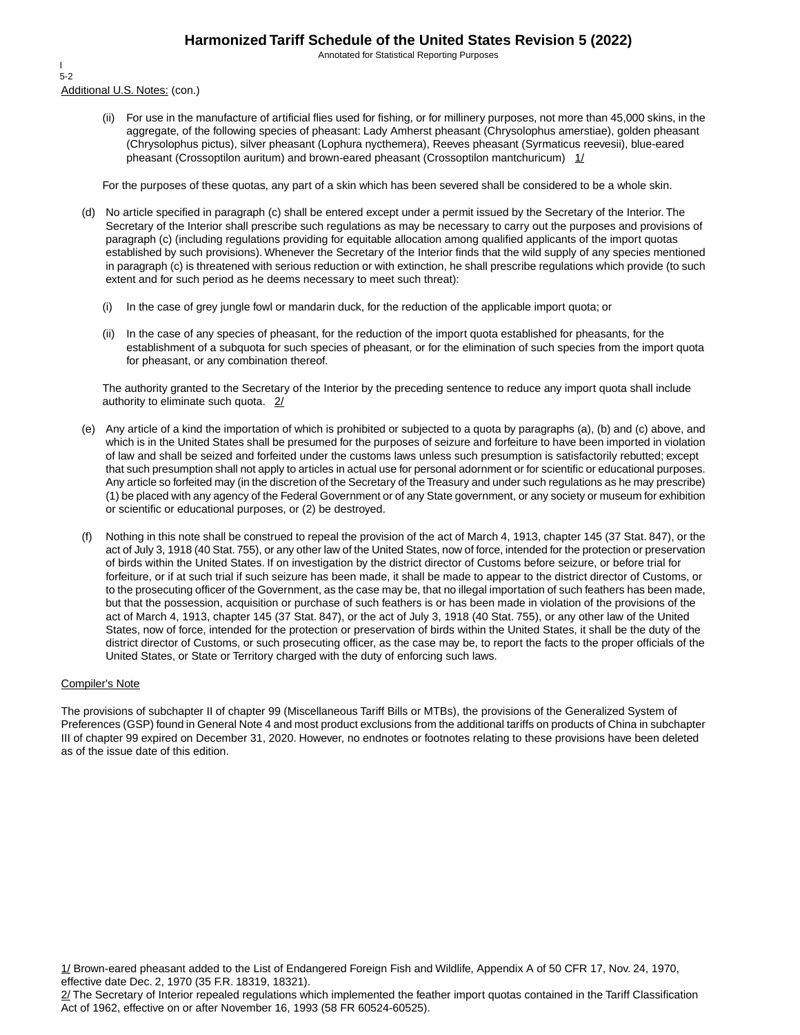Annotated for Statistical Reporting Purposes

Additional U.S. Notes: (con.) I 5-2

> (ii) For use in the manufacture of artificial flies used for fishing, or for millinery purposes, not more than 45,000 skins, in the aggregate, of the following species of pheasant: Lady Amherst pheasant (Chrysolophus amerstiae), golden pheasant (Chrysolophus pictus), silver pheasant (Lophura nycthemera), Reeves pheasant (Syrmaticus reevesii), blue-eared pheasant (Crossoptilon auritum) and brown-eared pheasant (Crossoptilon mantchuricum)  $1/$

For the purposes of these quotas, any part of a skin which has been severed shall be considered to be a whole skin.

- (d) No article specified in paragraph (c) shall be entered except under a permit issued by the Secretary of the Interior. The Secretary of the Interior shall prescribe such regulations as may be necessary to carry out the purposes and provisions of paragraph (c) (including regulations providing for equitable allocation among qualified applicants of the import quotas established by such provisions). Whenever the Secretary of the Interior finds that the wild supply of any species mentioned in paragraph (c) is threatened with serious reduction or with extinction, he shall prescribe regulations which provide (to such extent and for such period as he deems necessary to meet such threat):
	- (i) In the case of grey jungle fowl or mandarin duck, for the reduction of the applicable import quota; or
	- (ii) In the case of any species of pheasant, for the reduction of the import quota established for pheasants, for the establishment of a subquota for such species of pheasant, or for the elimination of such species from the import quota for pheasant, or any combination thereof.

The authority granted to the Secretary of the Interior by the preceding sentence to reduce any import quota shall include authority to eliminate such quota. 2/

- (e) Any article of a kind the importation of which is prohibited or subjected to a quota by paragraphs (a), (b) and (c) above, and which is in the United States shall be presumed for the purposes of seizure and forfeiture to have been imported in violation of law and shall be seized and forfeited under the customs laws unless such presumption is satisfactorily rebutted; except that such presumption shall not apply to articles in actual use for personal adornment or for scientific or educational purposes. Any article so forfeited may (in the discretion of the Secretary of the Treasury and under such regulations as he may prescribe) (1) be placed with any agency of the Federal Government or of any State government, or any society or museum for exhibition or scientific or educational purposes, or (2) be destroyed.
- (f) Nothing in this note shall be construed to repeal the provision of the act of March 4, 1913, chapter 145 (37 Stat. 847), or the act of July 3, 1918 (40 Stat. 755), or any other law of the United States, now of force, intended for the protection or preservation of birds within the United States. If on investigation by the district director of Customs before seizure, or before trial for forfeiture, or if at such trial if such seizure has been made, it shall be made to appear to the district director of Customs, or to the prosecuting officer of the Government, as the case may be, that no illegal importation of such feathers has been made, but that the possession, acquisition or purchase of such feathers is or has been made in violation of the provisions of the act of March 4, 1913, chapter 145 (37 Stat. 847), or the act of July 3, 1918 (40 Stat. 755), or any other law of the United States, now of force, intended for the protection or preservation of birds within the United States, it shall be the duty of the district director of Customs, or such prosecuting officer, as the case may be, to report the facts to the proper officials of the United States, or State or Territory charged with the duty of enforcing such laws.

#### Compiler's Note

The provisions of subchapter II of chapter 99 (Miscellaneous Tariff Bills or MTBs), the provisions of the Generalized System of Preferences (GSP) found in General Note 4 and most product exclusions from the additional tariffs on products of China in subchapter III of chapter 99 expired on December 31, 2020. However, no endnotes or footnotes relating to these provisions have been deleted as of the issue date of this edition.

1/ Brown-eared pheasant added to the List of Endangered Foreign Fish and Wildlife, Appendix A of 50 CFR 17, Nov. 24, 1970, effective date Dec. 2, 1970 (35 F.R. 18319, 18321).

2/ The Secretary of Interior repealed regulations which implemented the feather import quotas contained in the Tariff Classification Act of 1962, effective on or after November 16, 1993 (58 FR 60524-60525).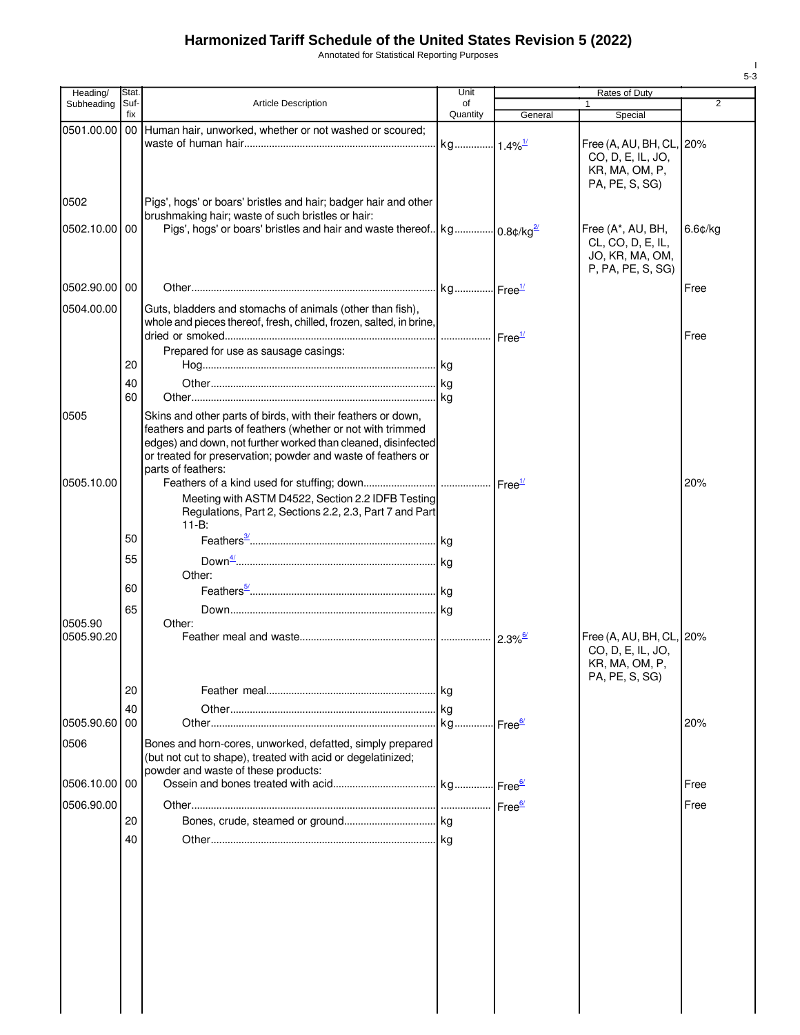Annotated for Statistical Reporting Purposes

| Heading/      | Stat.       |                                                                                                                                                                                                                                                              | Unit                  |         |                                                                                   |                |
|---------------|-------------|--------------------------------------------------------------------------------------------------------------------------------------------------------------------------------------------------------------------------------------------------------------|-----------------------|---------|-----------------------------------------------------------------------------------|----------------|
| Subheading    | Suf-<br>fix | <b>Article Description</b>                                                                                                                                                                                                                                   | of<br>Quantity        | General | Special                                                                           | $\overline{2}$ |
| 0501.00.00    |             | 00 Human hair, unworked, whether or not washed or scoured;                                                                                                                                                                                                   |                       |         |                                                                                   |                |
|               |             |                                                                                                                                                                                                                                                              | kg 1.4% <sup>1/</sup> |         | Free (A, AU, BH, CL, 20%<br>CO, D, E, IL, JO,<br>KR, MA, OM, P,<br>PA, PE, S, SG) |                |
| 0502          |             | Pigs', hogs' or boars' bristles and hair; badger hair and other<br>brushmaking hair; waste of such bristles or hair:                                                                                                                                         |                       |         |                                                                                   |                |
| 0502.10.00 00 |             | Pigs', hogs' or boars' bristles and hair and waste thereof   kg   0.8¢/kg <sup>2/</sup>                                                                                                                                                                      |                       |         | Free (A*, AU, BH,<br>CL, CO, D, E, IL,<br>JO, KR, MA, OM,<br>P, PA, PE, S, SG)    | 6.6¢/kg        |
| 0502.90.00 00 |             |                                                                                                                                                                                                                                                              |                       |         |                                                                                   | Free           |
| 0504.00.00    |             | Guts, bladders and stomachs of animals (other than fish),<br>whole and pieces thereof, fresh, chilled, frozen, salted, in brine,                                                                                                                             |                       |         |                                                                                   | Free           |
|               |             | Prepared for use as sausage casings:                                                                                                                                                                                                                         |                       |         |                                                                                   |                |
|               | 20          |                                                                                                                                                                                                                                                              |                       |         |                                                                                   |                |
|               | 40<br>60    |                                                                                                                                                                                                                                                              |                       |         |                                                                                   |                |
| 0505          |             | Skins and other parts of birds, with their feathers or down,<br>feathers and parts of feathers (whether or not with trimmed<br>edges) and down, not further worked than cleaned, disinfected<br>or treated for preservation; powder and waste of feathers or |                       |         |                                                                                   |                |
| 0505.10.00    |             | parts of feathers:                                                                                                                                                                                                                                           |                       |         |                                                                                   | 20%            |
|               |             | Meeting with ASTM D4522, Section 2.2 IDFB Testing<br>Regulations, Part 2, Sections 2.2, 2.3, Part 7 and Part<br>$11 - B:$                                                                                                                                    |                       |         |                                                                                   |                |
|               | 50          |                                                                                                                                                                                                                                                              |                       |         |                                                                                   |                |
|               | 55          |                                                                                                                                                                                                                                                              |                       |         |                                                                                   |                |
|               | 60          | Other:                                                                                                                                                                                                                                                       |                       |         |                                                                                   |                |
|               |             |                                                                                                                                                                                                                                                              |                       |         |                                                                                   |                |
| 0505.90       | 65          | Other:                                                                                                                                                                                                                                                       |                       |         |                                                                                   |                |
| 0505.90.20    |             |                                                                                                                                                                                                                                                              |                       |         | Free (A, AU, BH, CL, 20%<br>CO, D, E, IL, JO,<br>KR, MA, OM, P,<br>PA, PE, S, SG) |                |
|               | 20          |                                                                                                                                                                                                                                                              |                       |         |                                                                                   |                |
|               | 40          |                                                                                                                                                                                                                                                              |                       |         |                                                                                   |                |
| 0505.90.60 00 |             |                                                                                                                                                                                                                                                              |                       |         |                                                                                   | 20%            |
| 0506          |             | Bones and horn-cores, unworked, defatted, simply prepared<br>(but not cut to shape), treated with acid or degelatinized;<br>powder and waste of these products:                                                                                              |                       |         |                                                                                   |                |
| 0506.10.00 00 |             |                                                                                                                                                                                                                                                              |                       |         |                                                                                   | Free           |
| 0506.90.00    |             |                                                                                                                                                                                                                                                              |                       |         |                                                                                   | Free           |
|               | 20          |                                                                                                                                                                                                                                                              |                       |         |                                                                                   |                |
|               | 40          |                                                                                                                                                                                                                                                              |                       |         |                                                                                   |                |
|               |             |                                                                                                                                                                                                                                                              |                       |         |                                                                                   |                |
|               |             |                                                                                                                                                                                                                                                              |                       |         |                                                                                   |                |

I 5-3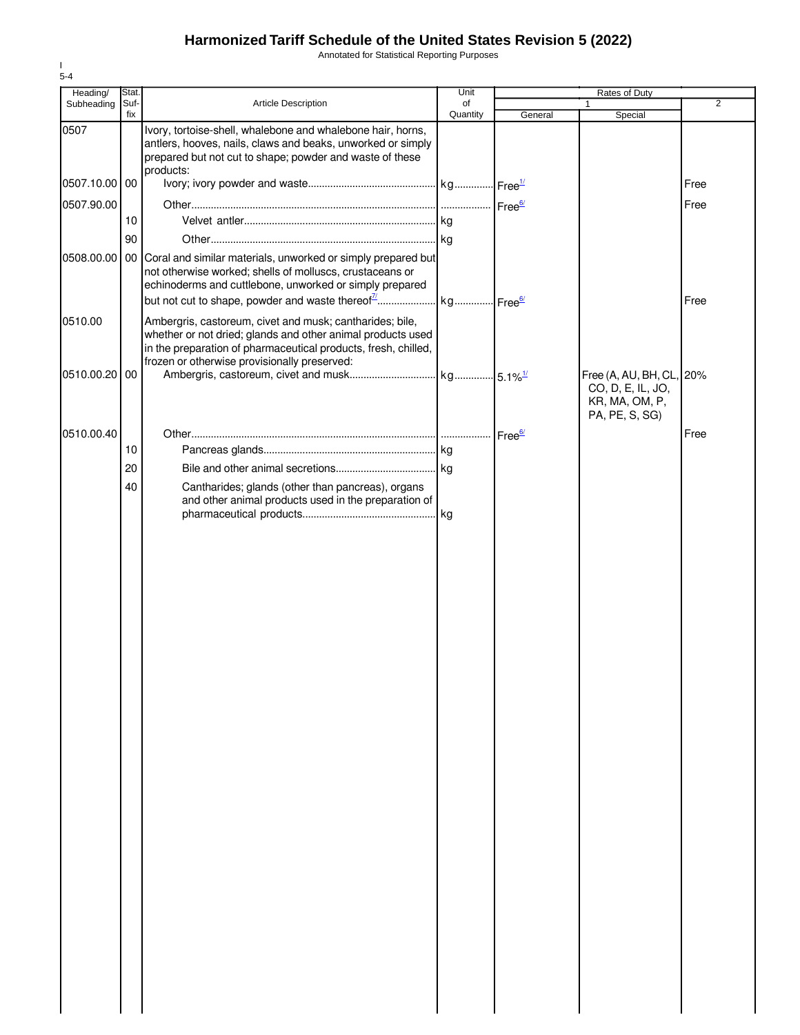Annotated for Statistical Reporting Purposes

| Heading/      | Stat.       |                                                                                                                                                                                                                                           | Unit           |         |                                                                                   |                |
|---------------|-------------|-------------------------------------------------------------------------------------------------------------------------------------------------------------------------------------------------------------------------------------------|----------------|---------|-----------------------------------------------------------------------------------|----------------|
| Subheading    | Suf-<br>fix | Article Description                                                                                                                                                                                                                       | of<br>Quantity | General | 1<br>Special                                                                      | $\overline{2}$ |
| 0507          |             | Ivory, tortoise-shell, whalebone and whalebone hair, horns,<br>antlers, hooves, nails, claws and beaks, unworked or simply<br>prepared but not cut to shape; powder and waste of these<br>products:                                       |                |         |                                                                                   |                |
| 0507.10.00 00 |             |                                                                                                                                                                                                                                           |                |         |                                                                                   | Free           |
| 0507.90.00    |             |                                                                                                                                                                                                                                           |                |         |                                                                                   | Free           |
|               | 10          |                                                                                                                                                                                                                                           |                |         |                                                                                   |                |
|               | 90          |                                                                                                                                                                                                                                           |                |         |                                                                                   |                |
|               |             | 0508.00.00 00 Coral and similar materials, unworked or simply prepared but<br>not otherwise worked; shells of molluscs, crustaceans or<br>echinoderms and cuttlebone, unworked or simply prepared                                         |                |         |                                                                                   | Free           |
| 0510.00       |             | Ambergris, castoreum, civet and musk; cantharides; bile,<br>whether or not dried; glands and other animal products used<br>in the preparation of pharmaceutical products, fresh, chilled,<br>frozen or otherwise provisionally preserved: |                |         |                                                                                   |                |
| 0510.00.20 00 |             |                                                                                                                                                                                                                                           |                |         | Free (A, AU, BH, CL, 20%<br>CO, D, E, IL, JO,<br>KR, MA, OM, P,<br>PA, PE, S, SG) |                |
| 0510.00.40    |             |                                                                                                                                                                                                                                           |                |         |                                                                                   | Free           |
|               | 10          |                                                                                                                                                                                                                                           |                |         |                                                                                   |                |
|               | 20          |                                                                                                                                                                                                                                           |                |         |                                                                                   |                |
|               | 40          | Cantharides; glands (other than pancreas), organs<br>and other animal products used in the preparation of                                                                                                                                 |                |         |                                                                                   |                |
|               |             |                                                                                                                                                                                                                                           |                |         |                                                                                   |                |

I 5-4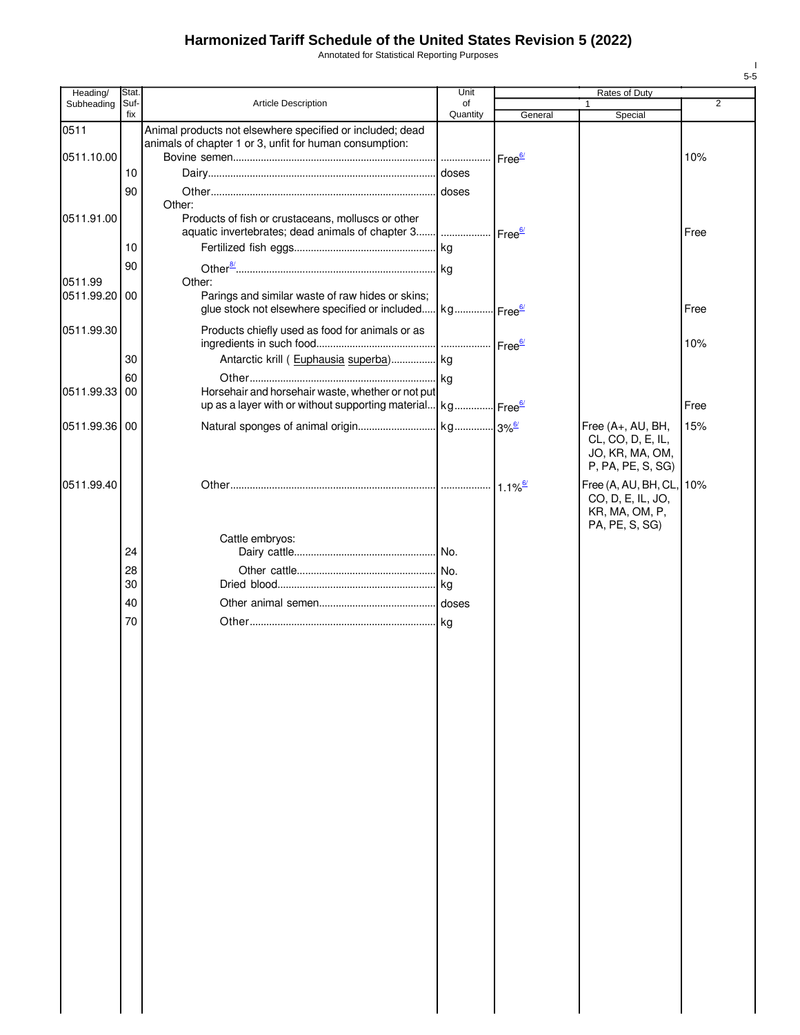Annotated for Statistical Reporting Purposes

| Heading/      | Stat.       |                                                                                                                          | Unit           |         |                                                                                |                |
|---------------|-------------|--------------------------------------------------------------------------------------------------------------------------|----------------|---------|--------------------------------------------------------------------------------|----------------|
| Subheading    | Suf-<br>fix | Article Description                                                                                                      | of<br>Quantity | General | Special                                                                        | $\overline{2}$ |
| 0511          |             | Animal products not elsewhere specified or included; dead<br>animals of chapter 1 or 3, unfit for human consumption:     |                |         |                                                                                |                |
| 0511.10.00    |             |                                                                                                                          |                |         |                                                                                | 10%            |
|               | 10          |                                                                                                                          | doses          |         |                                                                                |                |
|               | 90          |                                                                                                                          |                |         |                                                                                |                |
| 0511.91.00    |             | Other:<br>Products of fish or crustaceans, molluscs or other                                                             |                |         |                                                                                |                |
|               |             | aquatic invertebrates; dead animals of chapter 3    Free <sup>6/</sup>                                                   |                |         |                                                                                | Free           |
|               | 10          |                                                                                                                          |                |         |                                                                                |                |
|               | 90          |                                                                                                                          |                |         |                                                                                |                |
| 0511.99       |             | Other:                                                                                                                   |                |         |                                                                                |                |
| 0511.99.20    | 00          | Parings and similar waste of raw hides or skins;<br>glue stock not elsewhere specified or included kg Free <sup>6/</sup> |                |         |                                                                                | Free           |
| 0511.99.30    |             | Products chiefly used as food for animals or as                                                                          |                |         |                                                                                | 10%            |
|               | 30          | Antarctic krill (Euphausia superba) kg                                                                                   |                |         |                                                                                |                |
|               | 60          | Horsehair and horsehair waste, whether or not put                                                                        |                |         |                                                                                |                |
| 0511.99.33    | 00          | up as a layer with or without supporting material kg Free <sup>6/</sup>                                                  |                |         |                                                                                | Free           |
|               |             |                                                                                                                          |                |         |                                                                                |                |
| 0511.99.36 00 |             |                                                                                                                          |                |         | Free (A+, AU, BH,<br>CL, CO, D, E, IL,<br>JO, KR, MA, OM,<br>P, PA, PE, S, SG) | 15%            |
| 0511.99.40    |             |                                                                                                                          |                |         | Free (A, AU, BH, CL,<br>CO, D, E, IL, JO,<br>KR, MA, OM, P,<br>PA, PE, S, SG)  | 10%            |
|               |             | Cattle embryos:                                                                                                          |                |         |                                                                                |                |
|               | 24          |                                                                                                                          |                |         |                                                                                |                |
|               | 28<br>30    |                                                                                                                          |                |         |                                                                                |                |
|               | 40          |                                                                                                                          |                |         |                                                                                |                |
|               | 70          |                                                                                                                          |                |         |                                                                                |                |
|               |             |                                                                                                                          |                |         |                                                                                |                |
|               |             |                                                                                                                          |                |         |                                                                                |                |

I 5-5